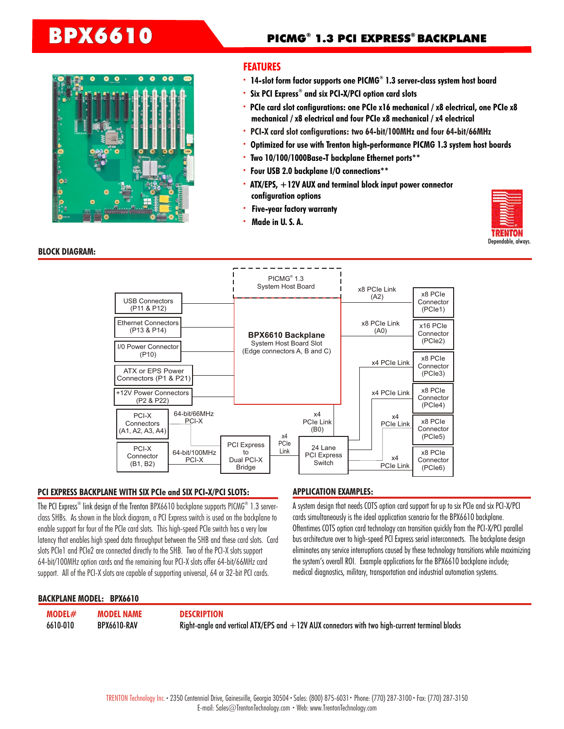

## **FEATURES**

- 14-slot form factor supports one PICMG® 1.3 server-class system host board
- **· ® Six PCI Express and six PCI-X/PCI option card slots**
- **· PCIe card slot configurations: one PCIe x16 mechanical / x8 electrical, one PCIe x8 mechanical / x8 electrical and four PCIe x8 mechanical / x4 electrical**
- **· PCI-X card slot configurations: two 64-bit/100MHz and four 64-bit/66MHz**
- **· Optimized for use with Trenton high-performance PICMG 1.3 system host boards**
- **· Two 10/100/1000Base-T backplane Ethernet ports\*\***
- **· Four USB 2.0 backplane I/O connections\*\***
- **· ATX/EPS, +12V AUX and terminal block input power connector configuration options**
- **· Five-year factory warranty**
- **· Made in U. S. A.**



## **BLOCK DIAGRAM:**



### **PCI EXPRESS BACKPLANE WITH SIX PCIe and SIX PCI-X/PCI SLOTS: APPLICATION EXAMPLES:**

The PCI Express® link design of the Trenton BPX6610 backplane supports PICMG® 1.3 server- A system design that needs COTS option card support for up to six PCIe and six PCI-X/PCI class SHBs. As shown in the block diagram, a PCI Express switch is used on the backplane to enable support for four of the PCIe card slots. This high-speed PCIe switch has a very low latency that enables high speed data throughput between the SHB and these card slots. Card slots PCIe1 and PCIe2 are connected directly to the SHB. Two of the PCI-X slots support 64-bit/100MHz option cards and the remaining four PCI-X slots offer 64-bit/66MHz card support. All of the PCI-X slots are capable of supporting universal, 64 or 32-bit PCI cards.

cards simultaneously is the ideal application scenario for the BPX6610 backplane. Oftentimes COTS option card technology can transition quickly from the PCI-X/PCI parallel bus architecture over to high-speed PCI Express serial interconnects. The backplane design eliminates any service interruptions caused by these technology transitions while maximizing the system's overall ROI. Example applications for the BPX6610 backplane include; medical diagnostics, military, transportation and industrial automation systems.

### **BACKPLANE MODEL: BPX6610**

**MODEL# MODEL NAME DESCRIPTION** 

6610-010 BPX6610-RAV Right-angle and vertical ATX/EPS and +12V AUX connectors with two high-current terminal blocks